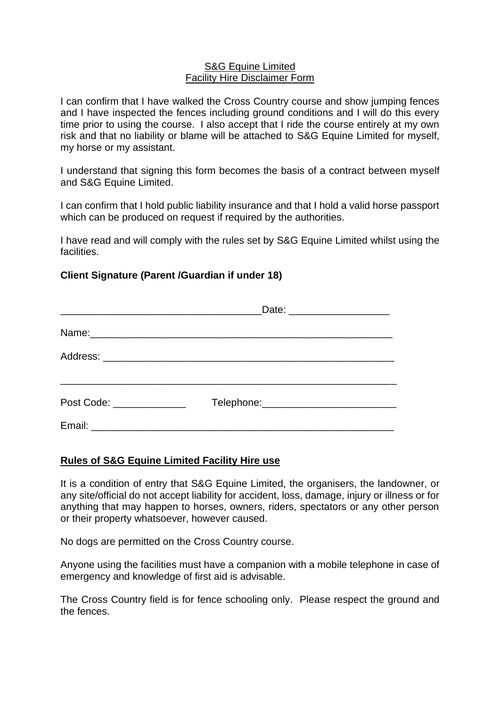## S&G Equine Limited Facility Hire Disclaimer Form

I can confirm that I have walked the Cross Country course and show jumping fences and I have inspected the fences including ground conditions and I will do this every time prior to using the course. I also accept that I ride the course entirely at my own risk and that no liability or blame will be attached to S&G Equine Limited for myself, my horse or my assistant.

I understand that signing this form becomes the basis of a contract between myself and S&G Equine Limited.

I can confirm that I hold public liability insurance and that I hold a valid horse passport which can be produced on request if required by the authorities.

I have read and will comply with the rules set by S&G Equine Limited whilst using the facilities.

## **Client Signature (Parent /Guardian if under 18)**

|                                      | Date: _______________________ |  |
|--------------------------------------|-------------------------------|--|
|                                      |                               |  |
|                                      |                               |  |
| Post Code: <u>__________________</u> |                               |  |
|                                      |                               |  |

## **Rules of S&G Equine Limited Facility Hire use**

It is a condition of entry that S&G Equine Limited, the organisers, the landowner, or any site/official do not accept liability for accident, loss, damage, injury or illness or for anything that may happen to horses, owners, riders, spectators or any other person or their property whatsoever, however caused.

No dogs are permitted on the Cross Country course.

Anyone using the facilities must have a companion with a mobile telephone in case of emergency and knowledge of first aid is advisable.

The Cross Country field is for fence schooling only. Please respect the ground and the fences.